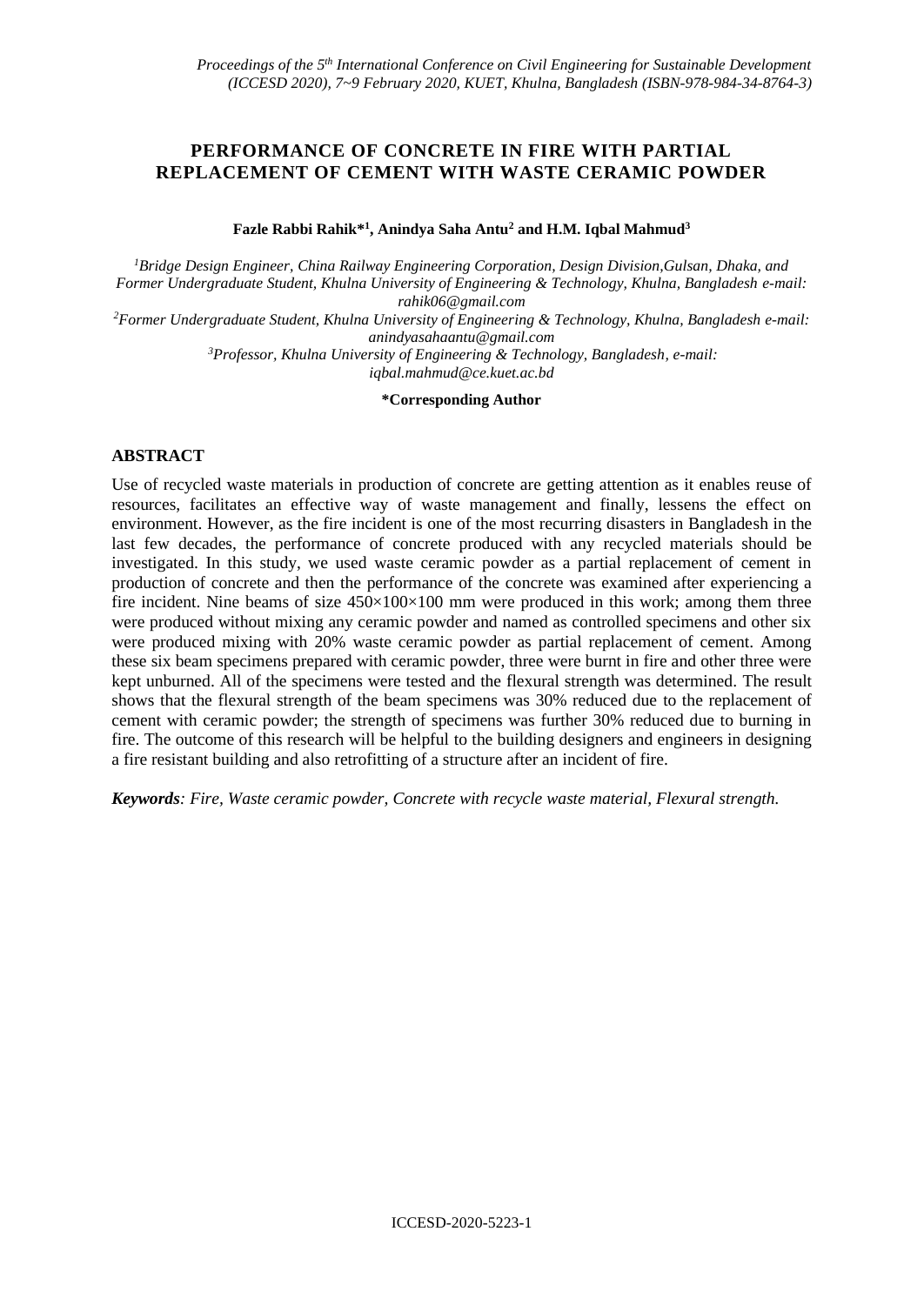## **PERFORMANCE OF CONCRETE IN FIRE WITH PARTIAL REPLACEMENT OF CEMENT WITH WASTE CERAMIC POWDER**

**Fazle Rabbi Rahik\*<sup>1</sup> , Anindya Saha Antu<sup>2</sup> and H.M. Iqbal Mahmud<sup>3</sup>**

*<sup>1</sup>Bridge Design Engineer, China Railway Engineering Corporation, Design Division,Gulsan, Dhaka, and Former Undergraduate Student, Khulna University of Engineering & Technology, Khulna, Bangladesh e-mail: rahik06@gmail.com*

*<sup>2</sup>Former Undergraduate Student, Khulna University of Engineering & Technology, Khulna, Bangladesh e-mail: anindyasahaantu@gmail.com*

*<sup>3</sup>Professor, Khulna University of Engineering & Technology, Bangladesh, e-mail:* 

*iqbal.mahmud@ce.kuet.ac.bd*

**\*Corresponding Author**

## **ABSTRACT**

Use of recycled waste materials in production of concrete are getting attention as it enables reuse of resources, facilitates an effective way of waste management and finally, lessens the effect on environment. However, as the fire incident is one of the most recurring disasters in Bangladesh in the last few decades, the performance of concrete produced with any recycled materials should be investigated. In this study, we used waste ceramic powder as a partial replacement of cement in production of concrete and then the performance of the concrete was examined after experiencing a fire incident. Nine beams of size  $450\times100\times100$  mm were produced in this work; among them three were produced without mixing any ceramic powder and named as controlled specimens and other six were produced mixing with 20% waste ceramic powder as partial replacement of cement. Among these six beam specimens prepared with ceramic powder, three were burnt in fire and other three were kept unburned. All of the specimens were tested and the flexural strength was determined. The result shows that the flexural strength of the beam specimens was 30% reduced due to the replacement of cement with ceramic powder; the strength of specimens was further 30% reduced due to burning in fire. The outcome of this research will be helpful to the building designers and engineers in designing a fire resistant building and also retrofitting of a structure after an incident of fire.

*Keywords: Fire, Waste ceramic powder, Concrete with recycle waste material, Flexural strength.*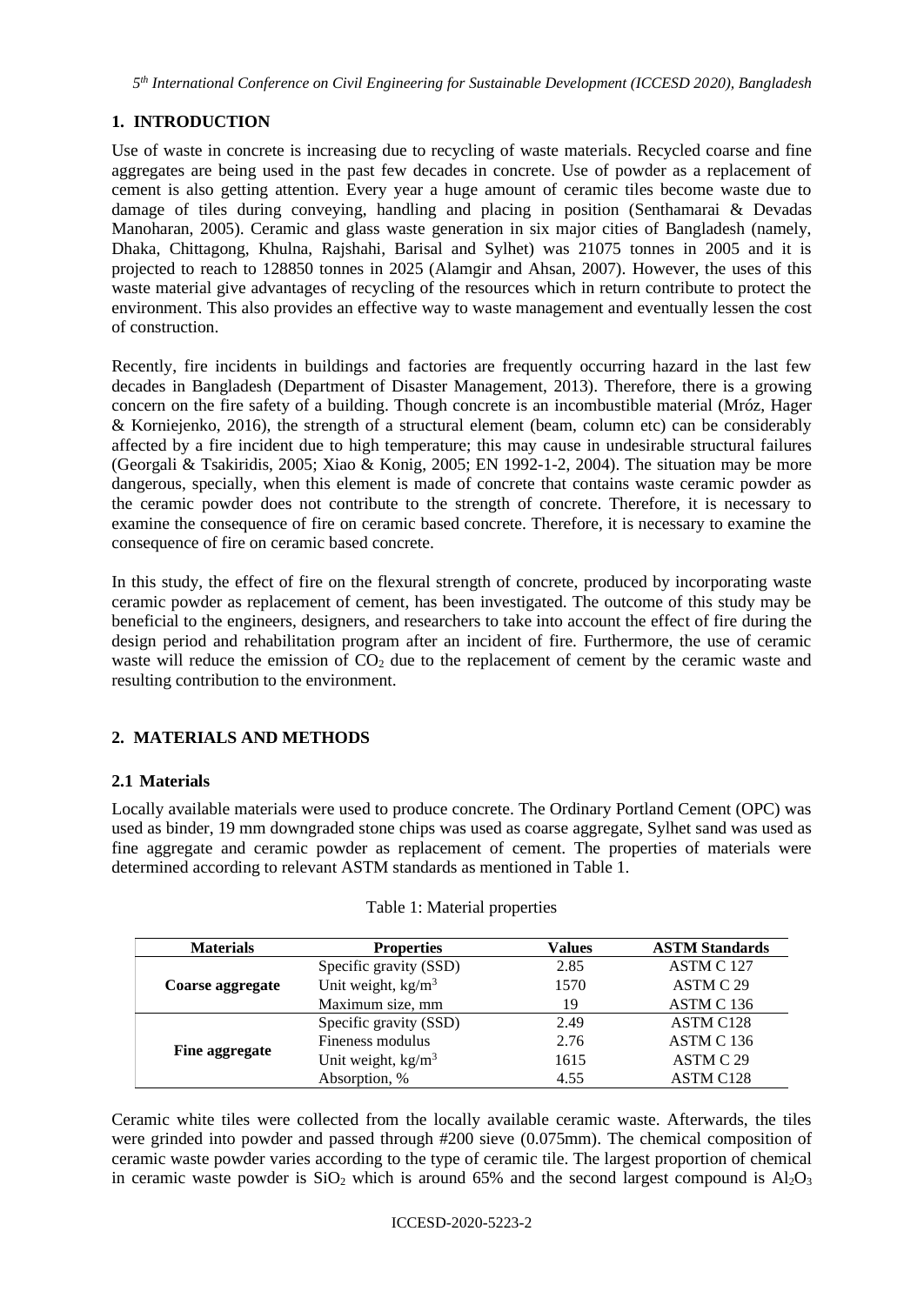*5 th International Conference on Civil Engineering for Sustainable Development (ICCESD 2020), Bangladesh*

# **1. INTRODUCTION**

Use of waste in concrete is increasing due to recycling of waste materials. Recycled coarse and fine aggregates are being used in the past few decades in concrete. Use of powder as a replacement of cement is also getting attention. Every year a huge amount of ceramic tiles become waste due to damage of tiles during conveying, handling and placing in position (Senthamarai & Devadas Manoharan, 2005). Ceramic and glass waste generation in six major cities of Bangladesh (namely, Dhaka, Chittagong, Khulna, Rajshahi, Barisal and Sylhet) was 21075 tonnes in 2005 and it is projected to reach to 128850 tonnes in 2025 (Alamgir and Ahsan, 2007). However, the uses of this waste material give advantages of recycling of the resources which in return contribute to protect the environment. This also provides an effective way to waste management and eventually lessen the cost of construction.

Recently, fire incidents in buildings and factories are frequently occurring hazard in the last few decades in Bangladesh (Department of Disaster Management, 2013). Therefore, there is a growing concern on the fire safety of a building. Though concrete is an incombustible material (Mróz, Hager & Korniejenko, 2016), the strength of a structural element (beam, column etc) can be considerably affected by a fire incident due to high temperature; this may cause in undesirable structural failures (Georgali & Tsakiridis, 2005; Xiao & Konig, 2005; EN 1992-1-2, 2004). The situation may be more dangerous, specially, when this element is made of concrete that contains waste ceramic powder as the ceramic powder does not contribute to the strength of concrete. Therefore, it is necessary to examine the consequence of fire on ceramic based concrete. Therefore, it is necessary to examine the consequence of fire on ceramic based concrete.

In this study, the effect of fire on the flexural strength of concrete, produced by incorporating waste ceramic powder as replacement of cement, has been investigated. The outcome of this study may be beneficial to the engineers, designers, and researchers to take into account the effect of fire during the design period and rehabilitation program after an incident of fire. Furthermore, the use of ceramic waste will reduce the emission of  $CO<sub>2</sub>$  due to the replacement of cement by the ceramic waste and resulting contribution to the environment.

# **2. MATERIALS AND METHODS**

## **2.1 Materials**

Locally available materials were used to produce concrete. The Ordinary Portland Cement (OPC) was used as binder, 19 mm downgraded stone chips was used as coarse aggregate, Sylhet sand was used as fine aggregate and ceramic powder as replacement of cement. The properties of materials were determined according to relevant ASTM standards as mentioned in Table 1.

| <b>Materials</b> | <b>Properties</b>      | <b>Values</b> | <b>ASTM Standards</b> |
|------------------|------------------------|---------------|-----------------------|
| Coarse aggregate | Specific gravity (SSD) | 2.85          | ASTM C 127            |
|                  | Unit weight, $kg/m3$   | 1570          | ASTM C 29             |
|                  | Maximum size, mm       | 19            | ASTM C 136            |
|                  | Specific gravity (SSD) | 2.49          | ASTM C128             |
|                  | Fineness modulus       | 2.76          | ASTM C 136            |
| Fine aggregate   | Unit weight, $kg/m3$   | 1615          | ASTM C 29             |
|                  | Absorption, %          | 4.55          | <b>ASTM C128</b>      |

## Table 1: Material properties

Ceramic white tiles were collected from the locally available ceramic waste. Afterwards, the tiles were grinded into powder and passed through #200 sieve (0.075mm). The chemical composition of ceramic waste powder varies according to the type of ceramic tile. The largest proportion of chemical in ceramic waste powder is  $SiO<sub>2</sub>$  which is around 65% and the second largest compound is  $Al<sub>2</sub>O<sub>3</sub>$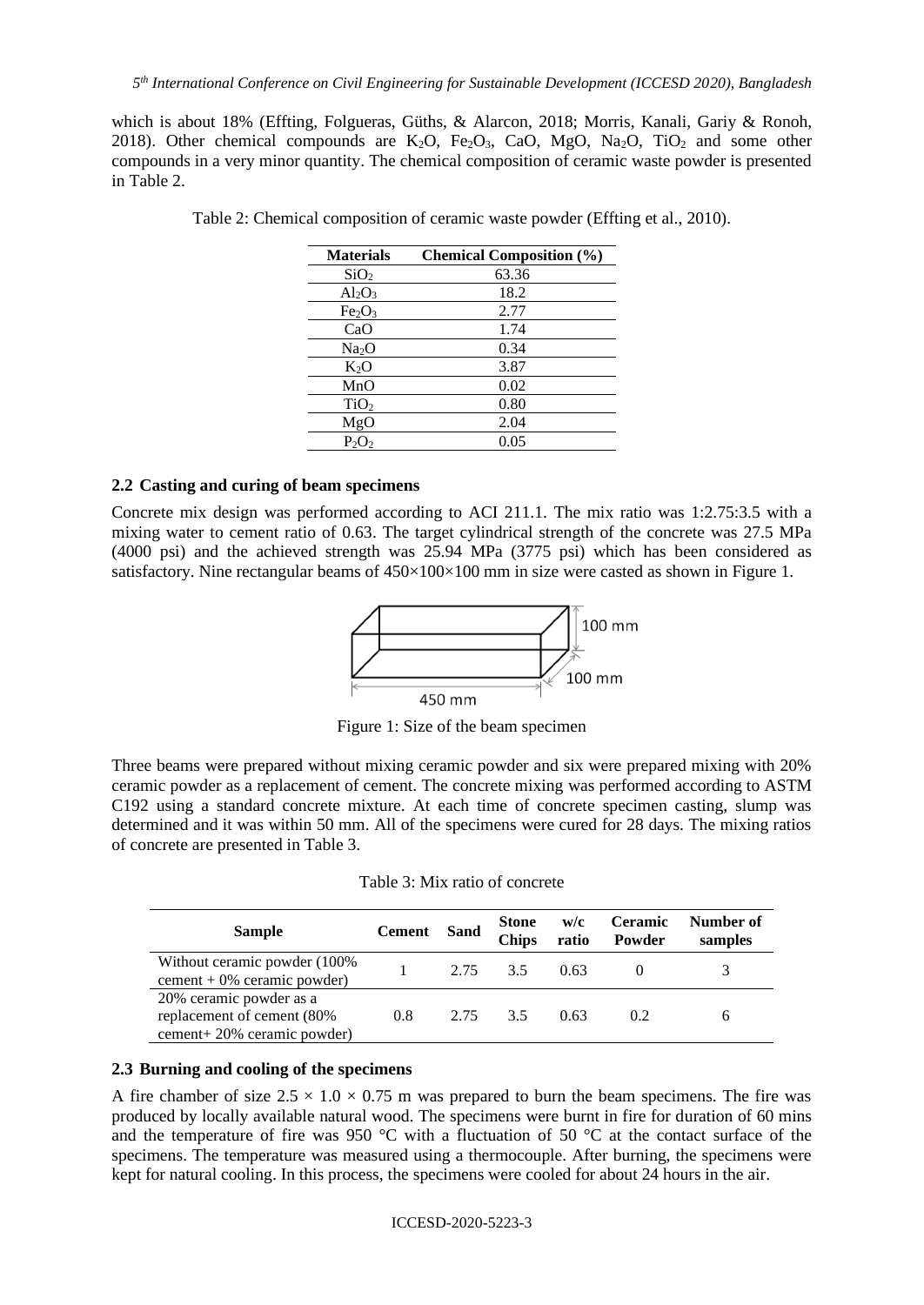which is about 18% (Effting, Folgueras, Güths, & Alarcon, 2018; Morris, Kanali, Gariy & Ronoh, 2018). Other chemical compounds are  $K_2O$ ,  $Fe<sub>2</sub>O<sub>3</sub>$ , CaO, MgO, Na<sub>2</sub>O, TiO<sub>2</sub> and some other compounds in a very minor quantity. The chemical composition of ceramic waste powder is presented in Table 2.

| <b>Materials</b>               | <b>Chemical Composition (%)</b> |
|--------------------------------|---------------------------------|
| SiO <sub>2</sub>               | 63.36                           |
| $Al_2O_3$                      | 18.2                            |
| Fe <sub>2</sub> O <sub>3</sub> | 2.77                            |
| CaO                            | 1.74                            |
| Na <sub>2</sub> O              | 0.34                            |
| $K_2O$                         | 3.87                            |
| MnO                            | 0.02                            |
| TiO <sub>2</sub>               | 0.80                            |
| MgO                            | 2.04                            |
| $P_2O_2$                       | 0.05                            |

Table 2: Chemical composition of ceramic waste powder (Effting et al., 2010).

## **2.2 Casting and curing of beam specimens**

Concrete mix design was performed according to ACI 211.1. The mix ratio was 1:2.75:3.5 with a mixing water to cement ratio of 0.63. The target cylindrical strength of the concrete was 27.5 MPa (4000 psi) and the achieved strength was 25.94 MPa (3775 psi) which has been considered as satisfactory. Nine rectangular beams of  $450\times100\times100$  mm in size were casted as shown in Figure 1.



Figure 1: Size of the beam specimen

Three beams were prepared without mixing ceramic powder and six were prepared mixing with 20% ceramic powder as a replacement of cement. The concrete mixing was performed according to ASTM C192 using a standard concrete mixture. At each time of concrete specimen casting, slump was determined and it was within 50 mm. All of the specimens were cured for 28 days. The mixing ratios of concrete are presented in Table 3.

| <b>Sample</b>                                                                        | <b>Cement</b> | Sand | <b>Stone</b><br><b>Chips</b> | W/C<br>ratio | <b>Ceramic</b><br>Powder | Number of<br>samples |
|--------------------------------------------------------------------------------------|---------------|------|------------------------------|--------------|--------------------------|----------------------|
| Without ceramic powder (100%)<br>cement + $0\%$ ceramic powder)                      |               | 2.75 | 3.5                          | 0.63         |                          |                      |
| 20% ceramic powder as a<br>replacement of cement (80%)<br>cement+20% ceramic powder) | 0.8           | 2.75 | 3.5                          | 0.63         | 0.2                      |                      |

#### **2.3 Burning and cooling of the specimens**

A fire chamber of size  $2.5 \times 1.0 \times 0.75$  m was prepared to burn the beam specimens. The fire was produced by locally available natural wood. The specimens were burnt in fire for duration of 60 mins and the temperature of fire was 950  $^{\circ}$ C with a fluctuation of 50  $^{\circ}$ C at the contact surface of the specimens. The temperature was measured using a thermocouple. After burning, the specimens were kept for natural cooling. In this process, the specimens were cooled for about 24 hours in the air.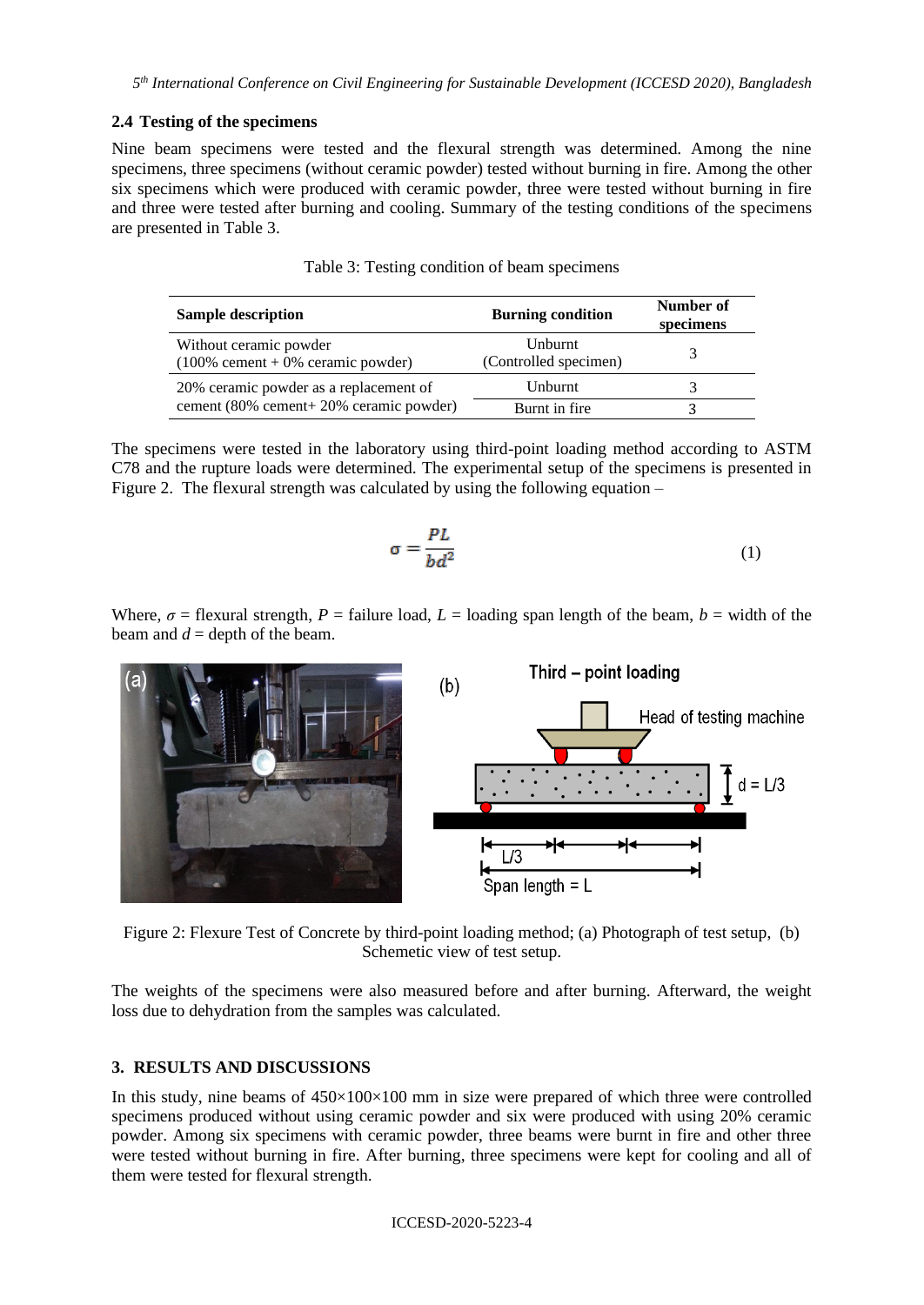## **2.4 Testing of the specimens**

Nine beam specimens were tested and the flexural strength was determined. Among the nine specimens, three specimens (without ceramic powder) tested without burning in fire. Among the other six specimens which were produced with ceramic powder, three were tested without burning in fire and three were tested after burning and cooling. Summary of the testing conditions of the specimens are presented in Table 3.

| <b>Sample description</b>                                      | <b>Burning condition</b>                | Number of<br>specimens |
|----------------------------------------------------------------|-----------------------------------------|------------------------|
| Without ceramic powder<br>$(100\%$ cement + 0% ceramic powder) | <b>Unburnt</b><br>(Controlled specimen) |                        |
| 20% ceramic powder as a replacement of                         | Unburnt                                 |                        |
| cement (80% cement+ 20% ceramic powder)                        | Burnt in fire                           |                        |

Table 3: Testing condition of beam specimens

The specimens were tested in the laboratory using third-point loading method according to ASTM C78 and the rupture loads were determined. The experimental setup of the specimens is presented in Figure 2. The flexural strength was calculated by using the following equation –

$$
\sigma = \frac{PL}{bd^2} \tag{1}
$$

Where,  $\sigma$  = flexural strength,  $P$  = failure load,  $L$  = loading span length of the beam,  $b$  = width of the beam and  $d =$  depth of the beam.





The weights of the specimens were also measured before and after burning. Afterward, the weight loss due to dehydration from the samples was calculated.

## **3. RESULTS AND DISCUSSIONS**

In this study, nine beams of  $450\times100\times100$  mm in size were prepared of which three were controlled specimens produced without using ceramic powder and six were produced with using 20% ceramic powder. Among six specimens with ceramic powder, three beams were burnt in fire and other three were tested without burning in fire. After burning, three specimens were kept for cooling and all of them were tested for flexural strength.

ICCESD-2020-5223-4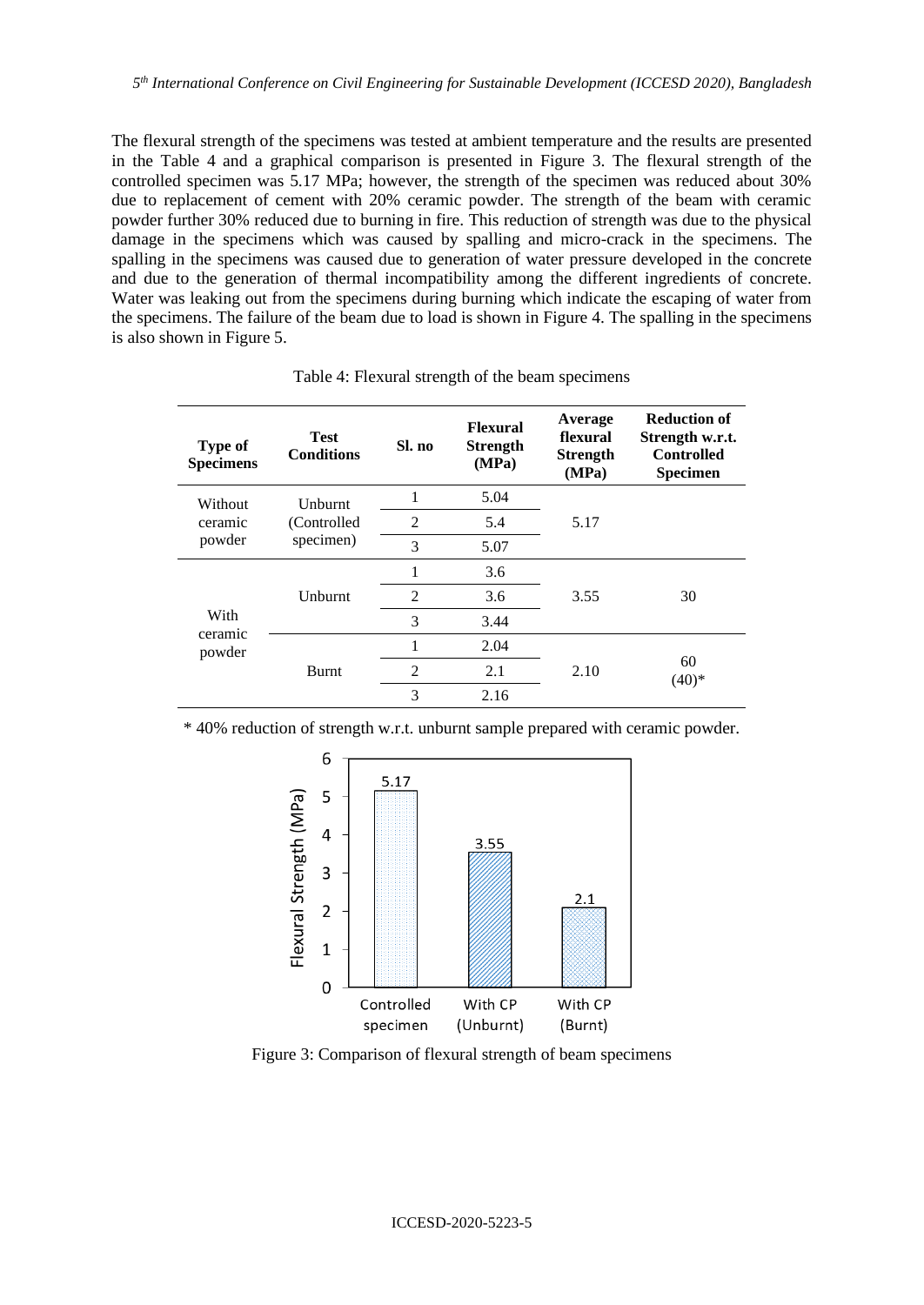The flexural strength of the specimens was tested at ambient temperature and the results are presented in the Table 4 and a graphical comparison is presented in Figure 3. The flexural strength of the controlled specimen was 5.17 MPa; however, the strength of the specimen was reduced about 30% due to replacement of cement with 20% ceramic powder. The strength of the beam with ceramic powder further 30% reduced due to burning in fire. This reduction of strength was due to the physical damage in the specimens which was caused by spalling and micro-crack in the specimens. The spalling in the specimens was caused due to generation of water pressure developed in the concrete and due to the generation of thermal incompatibility among the different ingredients of concrete. Water was leaking out from the specimens during burning which indicate the escaping of water from the specimens. The failure of the beam due to load is shown in Figure 4. The spalling in the specimens is also shown in Figure 5.

| <b>Type of</b><br><b>Specimens</b> | <b>Test</b><br><b>Conditions</b>    | Sl. no         | <b>Flexural</b><br><b>Strength</b><br>(MPa) | Average<br>flexural<br><b>Strength</b><br>(MPa) | <b>Reduction of</b><br>Strength w.r.t.<br><b>Controlled</b><br><b>Specimen</b> |
|------------------------------------|-------------------------------------|----------------|---------------------------------------------|-------------------------------------------------|--------------------------------------------------------------------------------|
| Without<br>ceramic<br>powder       | Unburnt<br>(Controlled<br>specimen) |                | 5.04                                        |                                                 |                                                                                |
|                                    |                                     | 2              | 5.4                                         | 5.17                                            |                                                                                |
|                                    |                                     | 3              | 5.07                                        |                                                 |                                                                                |
| With<br>ceramic<br>powder          | Unburnt                             |                | 3.6                                         | 3.55                                            | 30                                                                             |
|                                    |                                     | $\overline{2}$ | 3.6                                         |                                                 |                                                                                |
|                                    |                                     | 3              | 3.44                                        |                                                 |                                                                                |
|                                    | <b>Burnt</b>                        | 1              | 2.04                                        | 2.10                                            | 60<br>$(40)*$                                                                  |
|                                    |                                     | 2              | 2.1                                         |                                                 |                                                                                |
|                                    |                                     | 3              | 2.16                                        |                                                 |                                                                                |

Table 4: Flexural strength of the beam specimens

\* 40% reduction of strength w.r.t. unburnt sample prepared with ceramic powder.



Figure 3: Comparison of flexural strength of beam specimens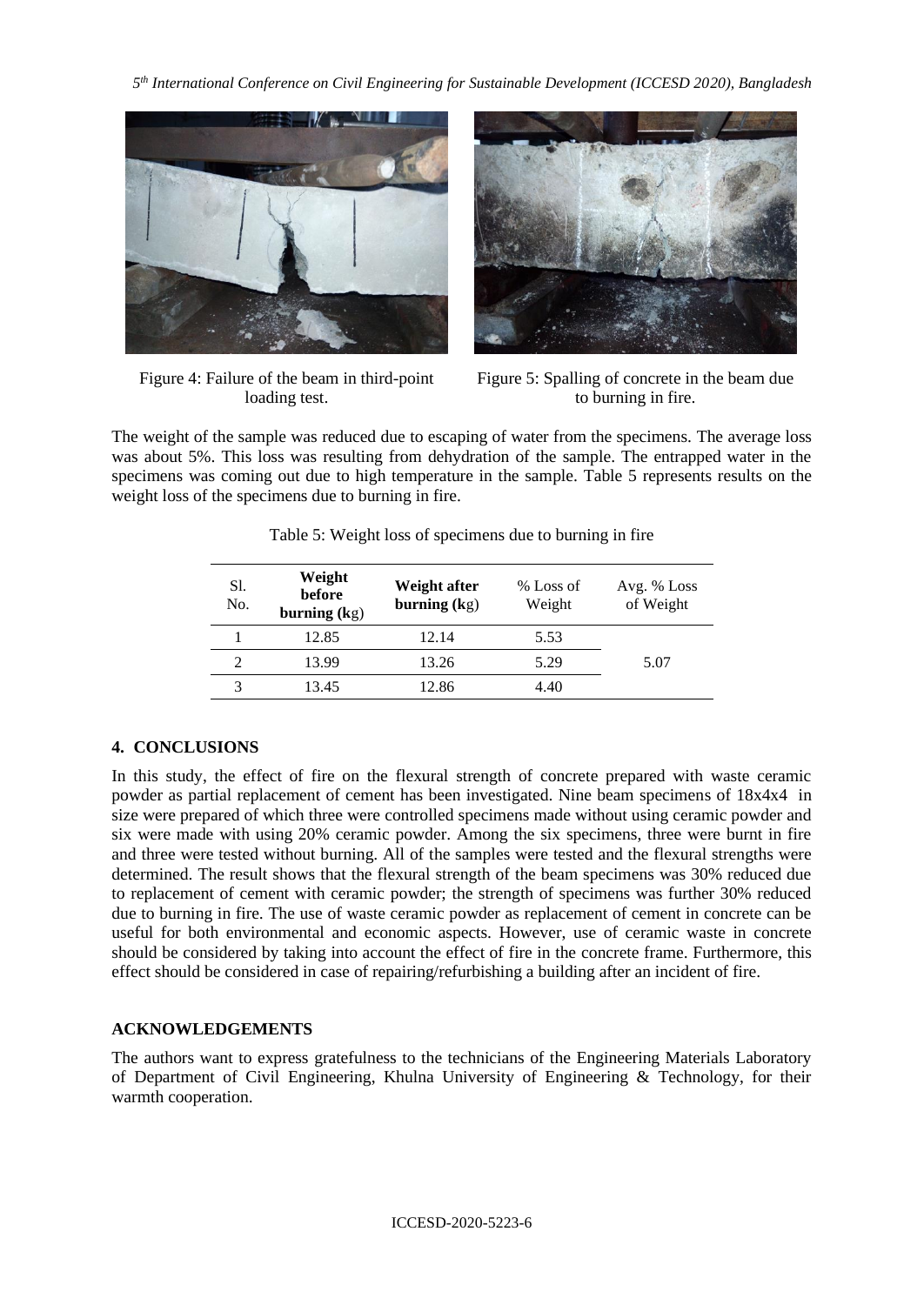*5 th International Conference on Civil Engineering for Sustainable Development (ICCESD 2020), Bangladesh*



Figure 4: Failure of the beam in third-point loading test.



Figure 5: Spalling of concrete in the beam due to burning in fire.

The weight of the sample was reduced due to escaping of water from the specimens. The average loss was about 5%. This loss was resulting from dehydration of the sample. The entrapped water in the specimens was coming out due to high temperature in the sample. Table 5 represents results on the weight loss of the specimens due to burning in fire.

| Sl.<br>No. | Weight<br>before<br>burning $(kg)$ | Weight after<br>burning $(kg)$ | % Loss of<br>Weight | Avg. % Loss<br>of Weight |
|------------|------------------------------------|--------------------------------|---------------------|--------------------------|
|            | 12.85                              | 12.14                          | 5.53                |                          |
|            | 13.99                              | 13.26                          | 5.29                | 5.07                     |
|            | 13.45                              | 12.86                          | 4.40                |                          |

Table 5: Weight loss of specimens due to burning in fire

## **4. CONCLUSIONS**

In this study, the effect of fire on the flexural strength of concrete prepared with waste ceramic powder as partial replacement of cement has been investigated. Nine beam specimens of 18x4x4 in size were prepared of which three were controlled specimens made without using ceramic powder and six were made with using 20% ceramic powder. Among the six specimens, three were burnt in fire and three were tested without burning. All of the samples were tested and the flexural strengths were determined. The result shows that the flexural strength of the beam specimens was 30% reduced due to replacement of cement with ceramic powder; the strength of specimens was further 30% reduced due to burning in fire. The use of waste ceramic powder as replacement of cement in concrete can be useful for both environmental and economic aspects. However, use of ceramic waste in concrete should be considered by taking into account the effect of fire in the concrete frame. Furthermore, this effect should be considered in case of repairing/refurbishing a building after an incident of fire.

## **ACKNOWLEDGEMENTS**

The authors want to express gratefulness to the technicians of the Engineering Materials Laboratory of Department of Civil Engineering, Khulna University of Engineering & Technology, for their warmth cooperation.